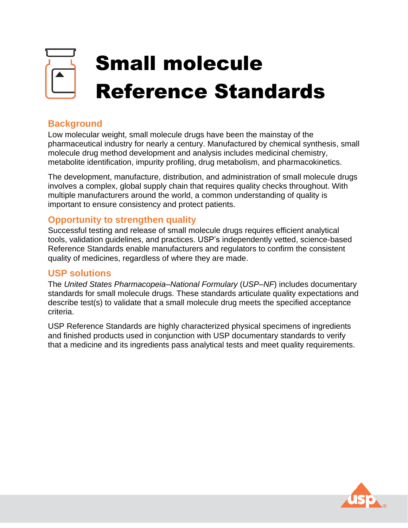# Small molecule Reference Standards

# **Background**

Low molecular weight, small molecule drugs have been the mainstay of the pharmaceutical industry for nearly a century. Manufactured by chemical synthesis, small molecule drug method development and analysis includes medicinal chemistry, metabolite identification, impurity profiling, drug metabolism, and pharmacokinetics.

The development, manufacture, distribution, and administration of small molecule drugs involves a complex, global supply chain that requires quality checks throughout. With multiple manufacturers around the world, a common understanding of quality is important to ensure consistency and protect patients.

### **Opportunity to strengthen quality**

Successful testing and release of small molecule drugs requires efficient analytical tools, validation guidelines, and practices. USP's independently vetted, science-based Reference Standards enable manufacturers and regulators to confirm the consistent quality of medicines, regardless of where they are made.

#### **USP solutions**

The *United States Pharmacopeia–National Formulary* (*USP–NF*) includes documentary standards for small molecule drugs. These standards articulate quality expectations and describe test(s) to validate that a small molecule drug meets the specified acceptance criteria.

USP Reference Standards are highly characterized physical specimens of ingredients and finished products used in conjunction with USP documentary standards to verify that a medicine and its ingredients pass analytical tests and meet quality requirements.